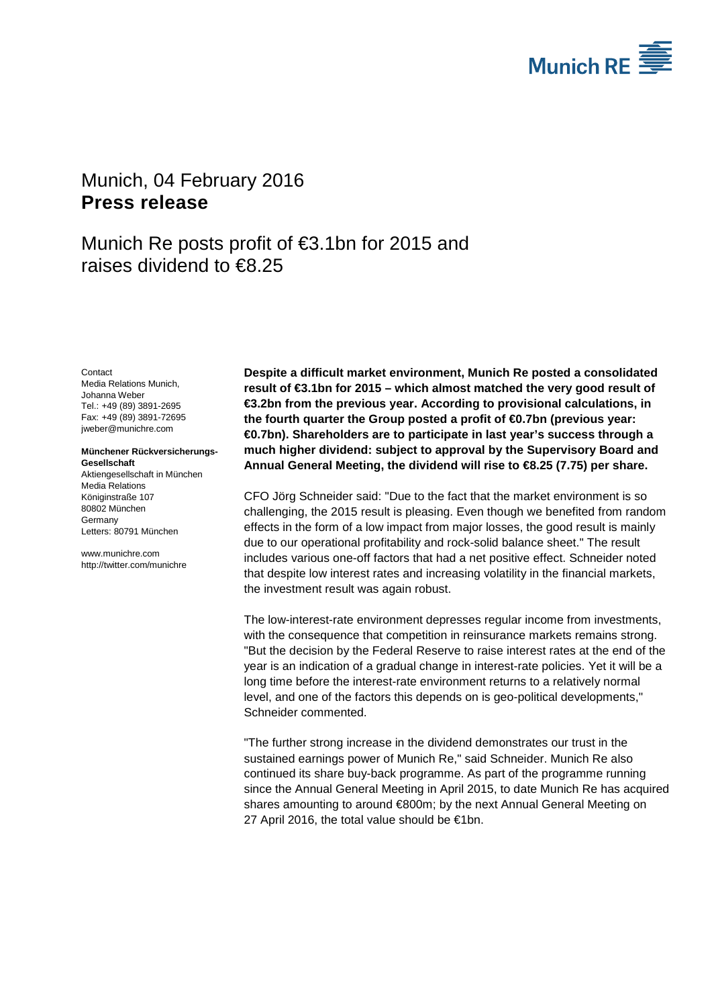

# <span id="page-0-1"></span><span id="page-0-0"></span>Munich, 04 February 2016 **Press release**

Munich Re posts profit of €3.1bn for 2015 and raises dividend to €8.25

<span id="page-0-3"></span><span id="page-0-2"></span>**Contact** Media Relations Munich, Johanna Weber Tel.: +49 (89) 3891-2695 Fax: +49 (89) 3891-72695 jweber@munichre.com

#### **Münchener Rückversicherungs-Gesellschaft** Aktiengesellschaft in München

Media Relations Königinstraße 107 80802 München Germany Letters: 80791 München

www.munichre.com http://twitter.com/munichre

**Despite a difficult market environment, Munich Re posted a consolidated result of €3.1bn for 2015 – which almost matched the very good result of €3.2bn from the previous year. According to provisional calculations, in the fourth quarter the Group posted a profit of €0.7bn (previous year: €0.7bn). Shareholders are to participate in last year's success through a much higher dividend: subject to approval by the Supervisory Board and Annual General Meeting, the dividend will rise to €8.25 (7.75) per share.**

CFO Jörg Schneider said: "Due to the fact that the market environment is so challenging, the 2015 result is pleasing. Even though we benefited from random effects in the form of a low impact from major losses, the good result is mainly due to our operational profitability and rock-solid balance sheet." The result includes various one-off factors that had a net positive effect. Schneider noted that despite low interest rates and increasing volatility in the financial markets, the investment result was again robust.

The low-interest-rate environment depresses regular income from investments, with the consequence that competition in reinsurance markets remains strong. "But the decision by the Federal Reserve to raise interest rates at the end of the year is an indication of a gradual change in interest-rate policies. Yet it will be a long time before the interest-rate environment returns to a relatively normal level, and one of the factors this depends on is geo-political developments," Schneider commented.

"The further strong increase in the dividend demonstrates our trust in the sustained earnings power of Munich Re," said Schneider. Munich Re also continued its share buy-back programme. As part of the programme running since the Annual General Meeting in April 2015, to date Munich Re has acquired shares amounting to around €800m; by the next Annual General Meeting on 27 April 2016, the total value should be €1bn.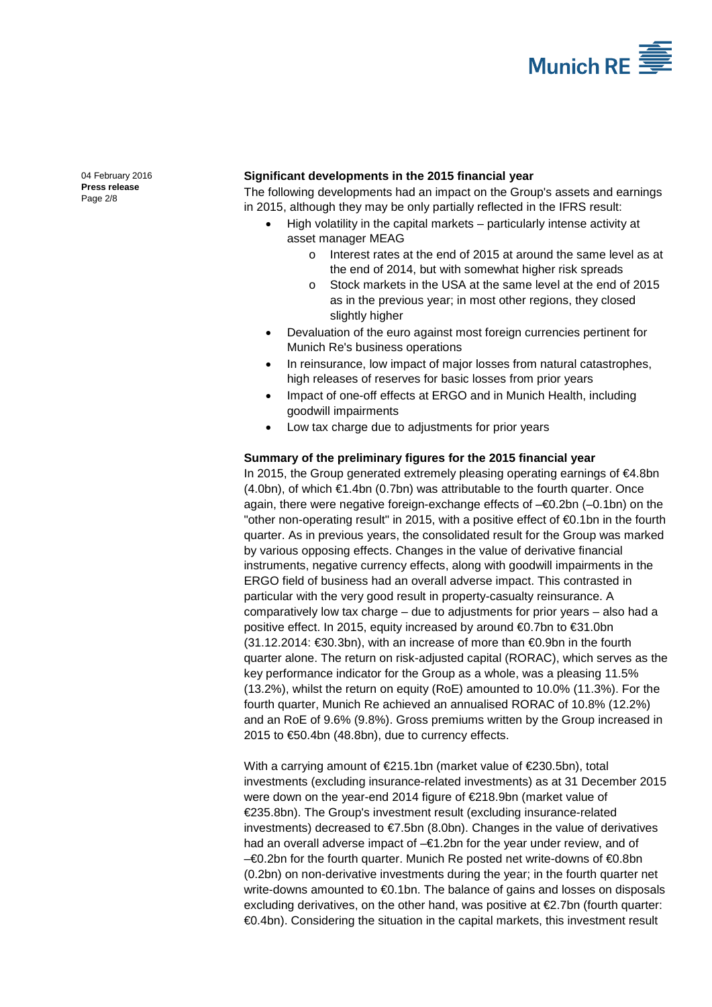

[04 February 2016](#page-0-0) **Press [release](#page-0-1)** Page 2/8

### **Significant developments in the 2015 financial year**

The following developments had an impact on the Group's assets and earnings in 2015, although they may be only partially reflected in the IFRS result:

- High volatility in the capital markets particularly intense activity at asset manager MEAG
	- o Interest rates at the end of 2015 at around the same level as at the end of 2014, but with somewhat higher risk spreads
	- o Stock markets in the USA at the same level at the end of 2015 as in the previous year; in most other regions, they closed slightly higher
- Devaluation of the euro against most foreign currencies pertinent for Munich Re's business operations
- In reinsurance, low impact of major losses from natural catastrophes, high releases of reserves for basic losses from prior years
- Impact of one-off effects at ERGO and in Munich Health, including goodwill impairments
- Low tax charge due to adjustments for prior years

### **Summary of the preliminary figures for the 2015 financial year**

In 2015, the Group generated extremely pleasing operating earnings of €4.8bn (4.0bn), of which €1.4bn (0.7bn) was attributable to the fourth quarter. Once again, there were negative foreign-exchange effects of –€0.2bn (–0.1bn) on the "other non-operating result" in 2015, with a positive effect of €0.1bn in the fourth quarter. As in previous years, the consolidated result for the Group was marked by various opposing effects. Changes in the value of derivative financial instruments, negative currency effects, along with goodwill impairments in the ERGO field of business had an overall adverse impact. This contrasted in particular with the very good result in property-casualty reinsurance. A comparatively low tax charge – due to adjustments for prior years – also had a positive effect. In 2015, equity increased by around €0.7bn to €31.0bn (31.12.2014: €30.3bn), with an increase of more than €0.9bn in the fourth quarter alone. The return on risk-adjusted capital (RORAC), which serves as the key performance indicator for the Group as a whole, was a pleasing 11.5% (13.2%), whilst the return on equity (RoE) amounted to 10.0% (11.3%). For the fourth quarter, Munich Re achieved an annualised RORAC of 10.8% (12.2%) and an RoE of 9.6% (9.8%). Gross premiums written by the Group increased in 2015 to €50.4bn (48.8bn), due to currency effects.

With a carrying amount of €215.1bn (market value of €230.5bn), total investments (excluding insurance-related investments) as at 31 December 2015 were down on the year-end 2014 figure of €218.9bn (market value of €235.8bn). The Group's investment result (excluding insurance-related investments) decreased to €7.5bn (8.0bn). Changes in the value of derivatives had an overall adverse impact of –€1.2bn for the year under review, and of –€0.2bn for the fourth quarter. Munich Re posted net write-downs of €0.8bn (0.2bn) on non-derivative investments during the year; in the fourth quarter net write-downs amounted to €0.1bn. The balance of gains and losses on disposals excluding derivatives, on the other hand, was positive at €2.7bn (fourth quarter: €0.4bn). Considering the situation in the capital markets, this investment result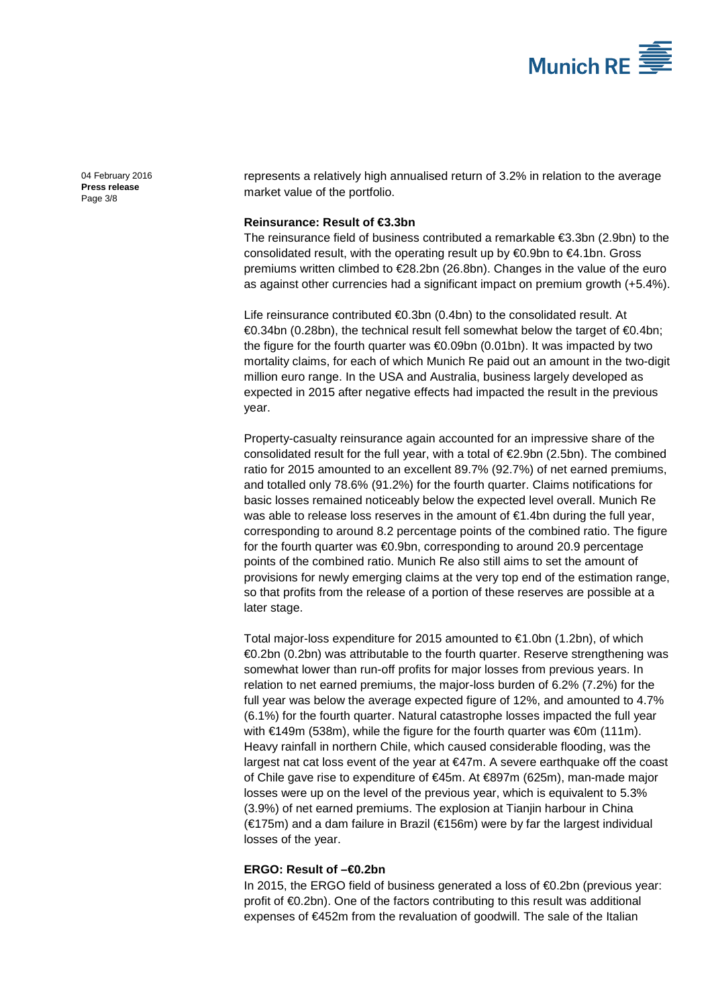

[04 February 2016](#page-0-0) **Press [release](#page-0-1)** Page 3/8

represents a relatively high annualised return of 3.2% in relation to the average market value of the portfolio.

### **Reinsurance: Result of €3.3bn**

The reinsurance field of business contributed a remarkable €3.3bn (2.9bn) to the consolidated result, with the operating result up by €0.9bn to €4.1bn. Gross premiums written climbed to €28.2bn (26.8bn). Changes in the value of the euro as against other currencies had a significant impact on premium growth (+5.4%).

Life reinsurance contributed €0.3bn (0.4bn) to the consolidated result. At €0.34bn (0.28bn), the technical result fell somewhat below the target of €0.4bn; the figure for the fourth quarter was €0.09bn (0.01bn). It was impacted by two mortality claims, for each of which Munich Re paid out an amount in the two-digit million euro range. In the USA and Australia, business largely developed as expected in 2015 after negative effects had impacted the result in the previous year.

Property-casualty reinsurance again accounted for an impressive share of the consolidated result for the full year, with a total of €2.9bn (2.5bn). The combined ratio for 2015 amounted to an excellent 89.7% (92.7%) of net earned premiums, and totalled only 78.6% (91.2%) for the fourth quarter. Claims notifications for basic losses remained noticeably below the expected level overall. Munich Re was able to release loss reserves in the amount of €1.4bn during the full year, corresponding to around 8.2 percentage points of the combined ratio. The figure for the fourth quarter was €0.9bn, corresponding to around 20.9 percentage points of the combined ratio. Munich Re also still aims to set the amount of provisions for newly emerging claims at the very top end of the estimation range, so that profits from the release of a portion of these reserves are possible at a later stage.

Total major-loss expenditure for 2015 amounted to €1.0bn (1.2bn), of which €0.2bn (0.2bn) was attributable to the fourth quarter. Reserve strengthening was somewhat lower than run-off profits for major losses from previous years. In relation to net earned premiums, the major-loss burden of 6.2% (7.2%) for the full year was below the average expected figure of 12%, and amounted to 4.7% (6.1%) for the fourth quarter. Natural catastrophe losses impacted the full year with  $\epsilon$ 149m (538m), while the figure for the fourth quarter was  $\epsilon$ 0m (111m). Heavy rainfall in northern Chile, which caused considerable flooding, was the largest nat cat loss event of the year at €47m. A severe earthquake off the coast of Chile gave rise to expenditure of €45m. At €897m (625m), man-made major losses were up on the level of the previous year, which is equivalent to 5.3% (3.9%) of net earned premiums. The explosion at Tianjin harbour in China (€175m) and a dam failure in Brazil (€156m) were by far the largest individual losses of the year.

### **ERGO: Result of –€0.2bn**

In 2015, the ERGO field of business generated a loss of €0.2bn (previous year: profit of €0.2bn). One of the factors contributing to this result was additional expenses of €452m from the revaluation of goodwill. The sale of the Italian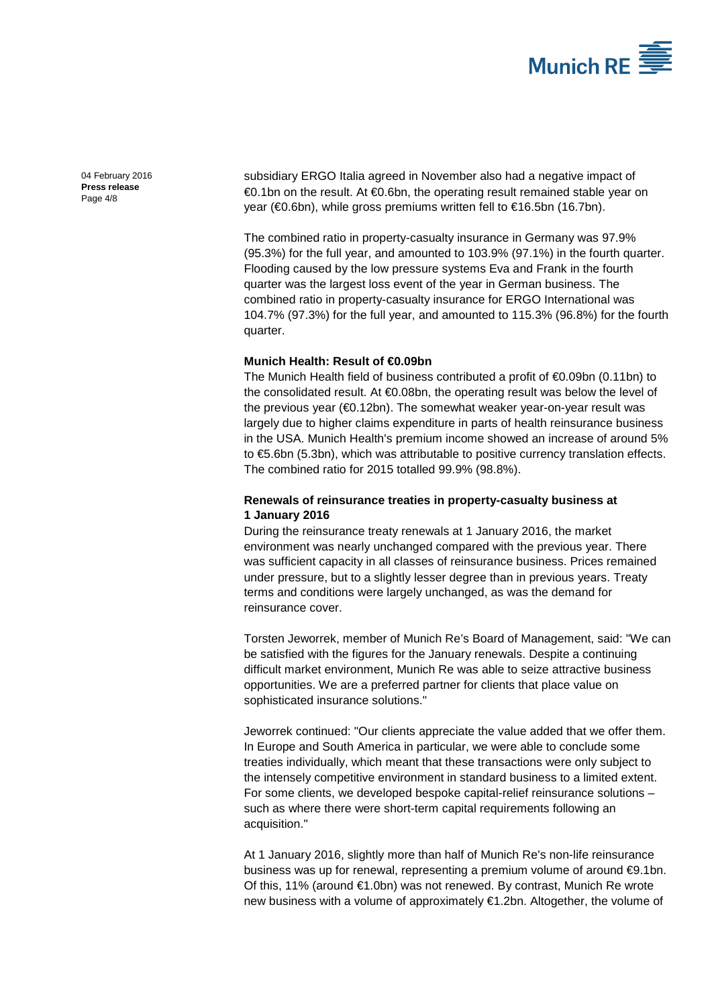

[04 February 2016](#page-0-0) **Press [release](#page-0-1)** Page 4/8

subsidiary ERGO Italia agreed in November also had a negative impact of €0.1bn on the result. At €0.6bn, the operating result remained stable year on year (€0.6bn), while gross premiums written fell to €16.5bn (16.7bn).

The combined ratio in property-casualty insurance in Germany was 97.9% (95.3%) for the full year, and amounted to 103.9% (97.1%) in the fourth quarter. Flooding caused by the low pressure systems Eva and Frank in the fourth quarter was the largest loss event of the year in German business. The combined ratio in property-casualty insurance for ERGO International was 104.7% (97.3%) for the full year, and amounted to 115.3% (96.8%) for the fourth quarter.

# **Munich Health: Result of €0.09bn**

The Munich Health field of business contributed a profit of  $\bigoplus$  0.09bn (0.11bn) to the consolidated result. At €0.08bn, the operating result was below the level of the previous year (€0.12bn). The somewhat weaker year-on-year result was largely due to higher claims expenditure in parts of health reinsurance business in the USA. Munich Health's premium income showed an increase of around 5% to €5.6bn (5.3bn), which was attributable to positive currency translation effects. The combined ratio for 2015 totalled 99.9% (98.8%).

# **Renewals of reinsurance treaties in property-casualty business at 1 January 2016**

During the reinsurance treaty renewals at 1 January 2016, the market environment was nearly unchanged compared with the previous year. There was sufficient capacity in all classes of reinsurance business. Prices remained under pressure, but to a slightly lesser degree than in previous years. Treaty terms and conditions were largely unchanged, as was the demand for reinsurance cover.

Torsten Jeworrek, member of Munich Re's Board of Management, said: "We can be satisfied with the figures for the January renewals. Despite a continuing difficult market environment, Munich Re was able to seize attractive business opportunities. We are a preferred partner for clients that place value on sophisticated insurance solutions."

Jeworrek continued: "Our clients appreciate the value added that we offer them. In Europe and South America in particular, we were able to conclude some treaties individually, which meant that these transactions were only subject to the intensely competitive environment in standard business to a limited extent. For some clients, we developed bespoke capital-relief reinsurance solutions – such as where there were short-term capital requirements following an acquisition."

At 1 January 2016, slightly more than half of Munich Re's non-life reinsurance business was up for renewal, representing a premium volume of around €9.1bn. Of this, 11% (around €1.0bn) was not renewed. By contrast, Munich Re wrote new business with a volume of approximately €1.2bn. Altogether, the volume of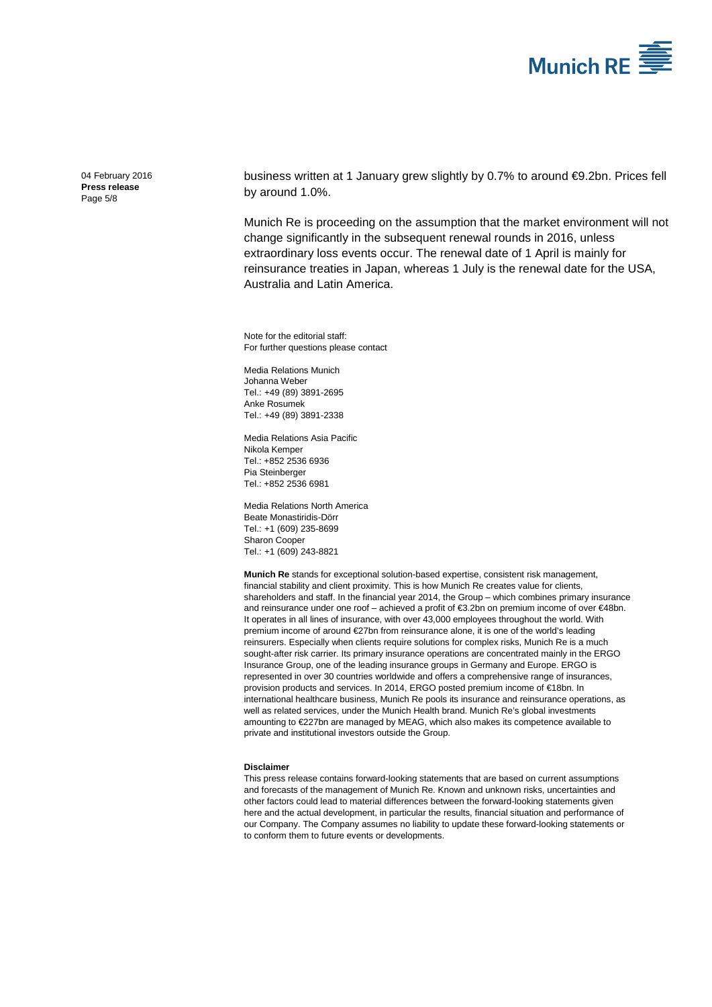

[04 February 2016](#page-0-0) **Press [release](#page-0-1)** Page 5/8

business written at 1 January grew slightly by 0.7% to around €9.2bn. Prices fell by around 1.0%.

Munich Re is proceeding on the assumption that the market environment will not change significantly in the subsequent renewal rounds in 2016, unless extraordinary loss events occur. The renewal date of 1 April is mainly for reinsurance treaties in Japan, whereas 1 July is the renewal date for the USA, Australia and Latin America.

Note for the editorial staff: For further questions please contact

Media Relations Munich [Johanna Weber](#page-0-2) Tel.: +49 (89) 389[1-2695](#page-0-3) Anke Rosumek Tel.: +49 (89) 3891-2338

Media Relations Asia Pacific Nikola Kemper Tel.: +852 2536 6936 Pia Steinberger Tel.: +852 2536 6981

Media Relations North America Beate Monastiridis-Dörr Tel.: +1 (609) 235-8699 Sharon Cooper Tel.: +1 (609) 243-8821

**Munich Re** stands for exceptional solution-based expertise, consistent risk management, financial stability and client proximity. This is how Munich Re creates value for clients, shareholders and staff. In the financial year 2014, the Group – which combines primary insurance and reinsurance under one roof – achieved a profit of €3.2bn on premium income of over €48bn. It operates in all lines of insurance, with over 43,000 employees throughout the world. With premium income of around €27bn from reinsurance alone, it is one of the world's leading reinsurers. Especially when clients require solutions for complex risks, Munich Re is a much sought-after risk carrier. Its primary insurance operations are concentrated mainly in the ERGO Insurance Group, one of the leading insurance groups in Germany and Europe. ERGO is represented in over 30 countries worldwide and offers a comprehensive range of insurances, provision products and services. In 2014, ERGO posted premium income of €18bn. In international healthcare business, Munich Re pools its insurance and reinsurance operations, as well as related services, under the Munich Health brand. Munich Re's global investments amounting to €227bn are managed by MEAG, which also makes its competence available to private and institutional investors outside the Group.

#### **Disclaimer**

This press release contains forward-looking statements that are based on current assumptions and forecasts of the management of Munich Re. Known and unknown risks, uncertainties and other factors could lead to material differences between the forward-looking statements given here and the actual development, in particular the results, financial situation and performance of our Company. The Company assumes no liability to update these forward-looking statements or to conform them to future events or developments.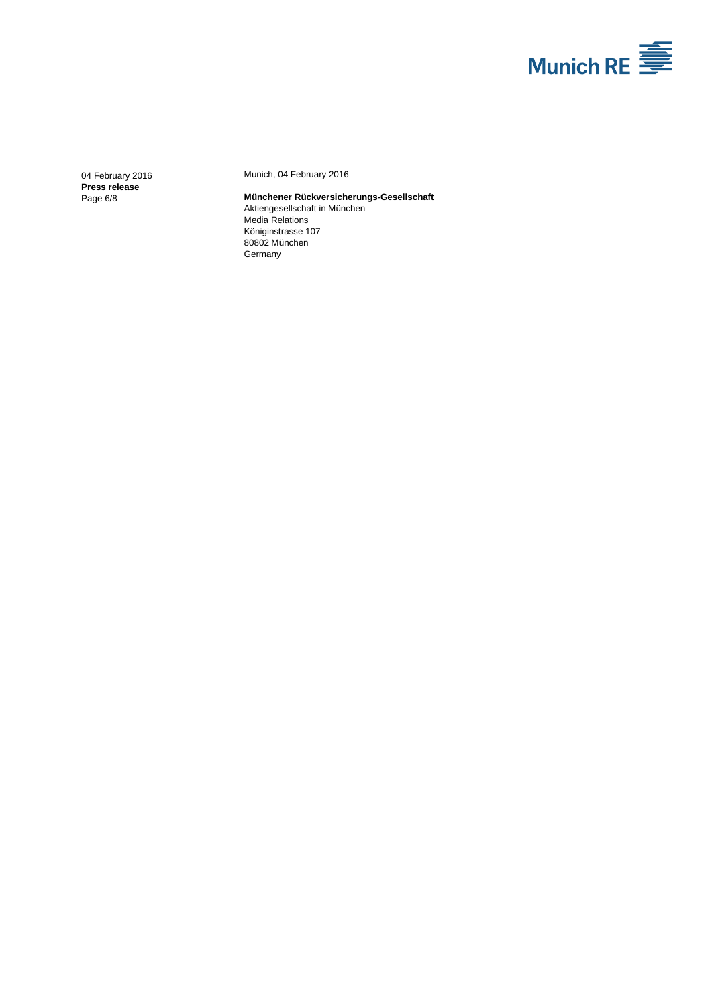

[04 February 2016](#page-0-0) **Press [release](#page-0-1)** Page 6/8

Munich[, 04 February 2016](#page-0-0)

#### **Münchener Rückversicherungs-Gesellschaft** Aktiengesellschaft in München Media Relations Königinstrasse 107 80802 München Germany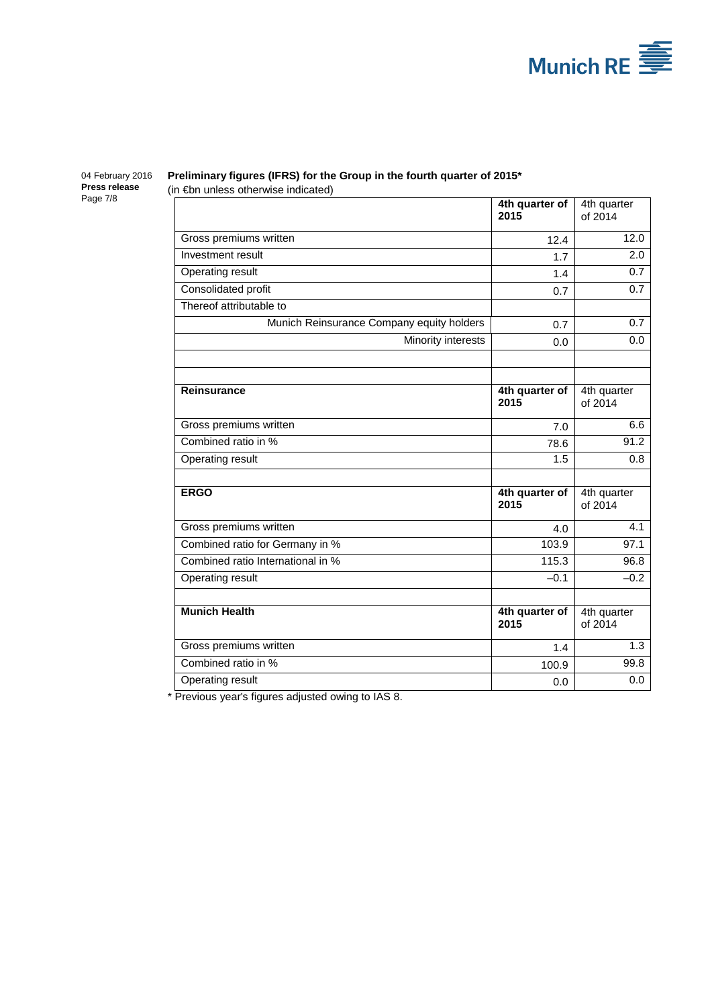

#### [04 February 2016](#page-0-0) **Press [release](#page-0-1)** Page 7/8

# **Preliminary figures (IFRS) for the Group in the fourth quarter of 2015\***

(in €bn unless otherwise indicated)

|                                           | 4th quarter of<br>2015 | 4th quarter<br>of 2014 |
|-------------------------------------------|------------------------|------------------------|
| Gross premiums written                    | 12.4                   | 12.0                   |
| Investment result                         | 1.7                    | 2.0                    |
| Operating result                          | 1.4                    | 0.7                    |
| Consolidated profit                       | 0.7                    | 0.7                    |
| Thereof attributable to                   |                        |                        |
| Munich Reinsurance Company equity holders | 0.7                    | 0.7                    |
| Minority interests                        | 0.0                    | 0.0                    |
|                                           |                        |                        |
|                                           |                        |                        |
| <b>Reinsurance</b>                        | 4th quarter of<br>2015 | 4th quarter<br>of 2014 |
| Gross premiums written                    | 7.0                    | 6.6                    |
| Combined ratio in %                       | 78.6                   | 91.2                   |
| Operating result                          | 1.5                    | 0.8                    |
|                                           |                        |                        |
| <b>ERGO</b>                               | 4th quarter of<br>2015 | 4th quarter<br>of 2014 |
| Gross premiums written                    | 4.0                    | 4.1                    |
| Combined ratio for Germany in %           | 103.9                  | 97.1                   |
| Combined ratio International in %         | 115.3                  | 96.8                   |
| Operating result                          | $-0.1$                 | $-0.2$                 |
|                                           |                        |                        |
| <b>Munich Health</b>                      | 4th quarter of<br>2015 | 4th quarter<br>of 2014 |
| Gross premiums written                    | 1.4                    | 1.3                    |
| Combined ratio in %                       | 100.9                  | 99.8                   |
| Operating result                          | 0.0                    | 0.0                    |

\* Previous year's figures adjusted owing to IAS 8.